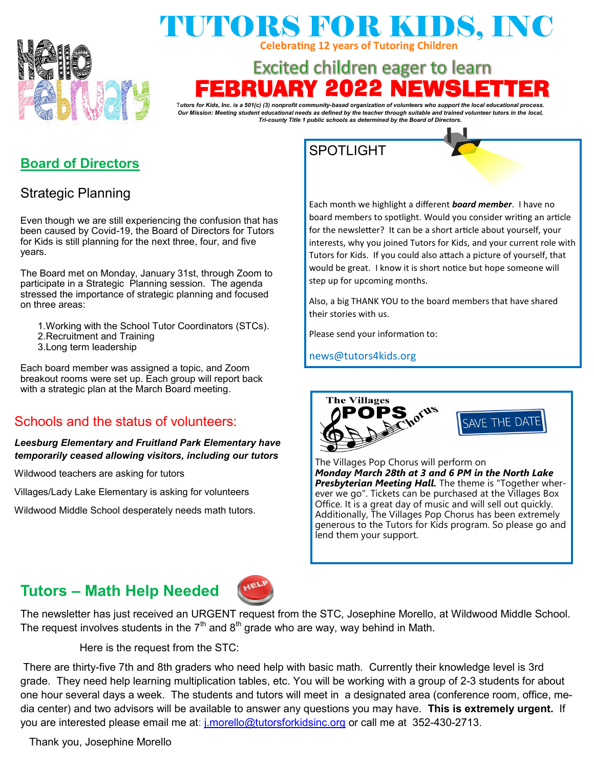

# TUTORS FOR KIDS, INC **Celebrating 12 years of Tutoring Children**

# **Excited children eager to learn** RRUARY 202

T*utors for Kids, Inc. is a 501(c) (3) nonprofit community-based organization of volunteers who support the local educational process. Our Mission: Meeting student educational needs as defined by the teacher through suitable and trained volunteer tutors in the local, Tri-county Title 1 public schools as determined by the Board of Directors.*

## **Board of Directors**

## Strategic Planning

Even though we are still experiencing the confusion that has been caused by Covid-19, the Board of Directors for Tutors for Kids is still planning for the next three, four, and five years.

The Board met on Monday, January 31st, through Zoom to participate in a Strategic Planning session. The agenda stressed the importance of strategic planning and focused on three areas:

- 1.Working with the School Tutor Coordinators (STCs).
- 2.Recruitment and Training
- 3.Long term leadership

Each board member was assigned a topic, and Zoom breakout rooms were set up. Each group will report back with a strategic plan at the March Board meeting.

### Schools and the status of volunteers:

### *Leesburg Elementary and Fruitland Park Elementary have temporarily ceased allowing visitors, including our tutors*

Wildwood teachers are asking for tutors

Villages/Lady Lake Elementary is asking for volunteers

Wildwood Middle School desperately needs math tutors.

## SPOTLIGHT

Each month we highlight a different *board member*. I have no board members to spotlight. Would you consider writing an article for the newsletter? It can be a short article about yourself, your interests, why you joined Tutors for Kids, and your current role with Tutors for Kids. If you could also attach a picture of yourself, that would be great. I know it is short notice but hope someone will step up for upcoming months.

Also, a big THANK YOU to the board members that have shared their stories with us.

Please send your information to:

news@tutors4kids.org



SAVE THE DATI

The Villages Pop Chorus will perform on *Monday March 28th at 3 and 6 PM in the North Lake Presbyterian Meeting Hall.* The theme is "Together wherever we go". Tickets can be purchased at the Villages Box Office. It is a great day of music and will sell out quickly. Additionally, The Villages Pop Chorus has been extremely generous to the Tutors for Kids program. So please go and lend them your support.

# **Tutors – Math Help Needed**



The newsletter has just received an URGENT request from the STC, Josephine Morello, at Wildwood Middle School. The request involves students in the  $7<sup>th</sup>$  and  $8<sup>th</sup>$  grade who are way, way behind in Math.

Here is the request from the STC:

There are thirty-five 7th and 8th graders who need help with basic math. Currently their knowledge level is 3rd grade. They need help learning multiplication tables, etc. You will be working with a group of 2-3 students for about one hour several days a week. The students and tutors will meet in a designated area (conference room, office, media center) and two advisors will be available to answer any questions you may have. **This is extremely urgent.** If you are interested please email me at: [j.morello@tutorsforkidsinc.org](mailto:j.morello@tutorsforkidsinc.org) or call me at 352-430-2713.

Thank you, Josephine Morello